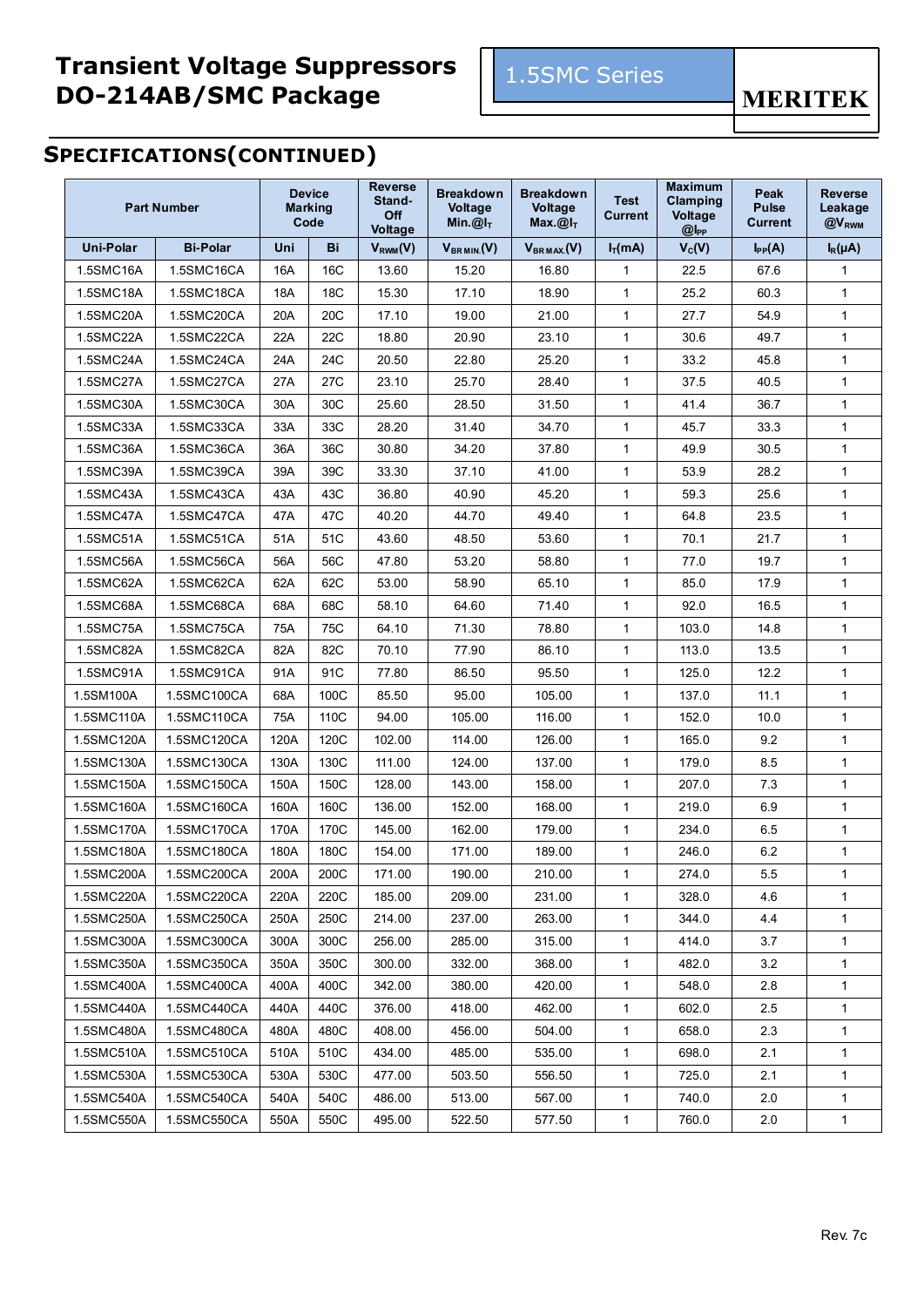## **Transient Voltage Suppressors DO-214AB/SMC Package**



**MERITEK** 

# **SPECIFICATIONS(CONTINUED)**

| <b>Part Number</b> |                 | <b>Device</b><br><b>Marking</b><br>Code |                 | <b>Reverse</b><br>Stand-<br>Off<br>Voltage | <b>Breakdown</b><br><b>Voltage</b><br>Min. $@I_T$ | <b>Breakdown</b><br><b>Voltage</b><br>Max. $@I_T$ | <b>Test</b><br><b>Current</b> | <b>Maximum</b><br>Clamping<br><b>Voltage</b><br>$@$ $I_{PP}$ | Peak<br><b>Pulse</b><br><b>Current</b> | <b>Reverse</b><br>Leakage<br>@V <sub>RWM</sub> |
|--------------------|-----------------|-----------------------------------------|-----------------|--------------------------------------------|---------------------------------------------------|---------------------------------------------------|-------------------------------|--------------------------------------------------------------|----------------------------------------|------------------------------------------------|
| <b>Uni-Polar</b>   | <b>Bi-Polar</b> | Uni                                     | Bi              | $V_{RWM}(V)$                               | $V_{BRMIN.}$ (V)                                  | $V_{BRMAX}$ (V)                                   | $I_T(mA)$                     | $V_c(V)$                                                     | $I_{PP}(A)$                            | $I_R(\mu A)$                                   |
| 1.5SMC16A          | 1.5SMC16CA      | 16A                                     | 16C             | 13.60                                      | 15.20                                             | 16.80                                             | 1                             | 22.5                                                         | 67.6                                   | $\mathbf{1}$                                   |
| 1.5SMC18A          | 1.5SMC18CA      | 18A                                     | 18 <sub>C</sub> | 15.30                                      | 17.10                                             | 18.90                                             | $\mathbf{1}$                  | 25.2                                                         | 60.3                                   | $\mathbf{1}$                                   |
| 1.5SMC20A          | 1.5SMC20CA      | 20A                                     | 20 <sub>C</sub> | 17.10                                      | 19.00                                             | 21.00                                             | $\mathbf{1}$                  | 27.7                                                         | 54.9                                   | 1                                              |
| 1.5SMC22A          | 1.5SMC22CA      | 22A                                     | <b>22C</b>      | 18.80                                      | 20.90                                             | 23.10                                             | 1                             | 30.6                                                         | 49.7                                   | $\mathbf{1}$                                   |
| 1.5SMC24A          | 1.5SMC24CA      | 24A                                     | 24C             | 20.50                                      | 22.80                                             | 25.20                                             | $\mathbf{1}$                  | 33.2                                                         | 45.8                                   | $\mathbf{1}$                                   |
| 1.5SMC27A          | 1.5SMC27CA      | 27A                                     | 27C             | 23.10                                      | 25.70                                             | 28.40                                             | $\mathbf 1$                   | 37.5                                                         | 40.5                                   | $\mathbf{1}$                                   |
| 1.5SMC30A          | 1.5SMC30CA      | 30A                                     | 30C             | 25.60                                      | 28.50                                             | 31.50                                             | $\mathbf{1}$                  | 41.4                                                         | 36.7                                   | $\mathbf{1}$                                   |
| 1.5SMC33A          | 1.5SMC33CA      | 33A                                     | 33C             | 28.20                                      | 31.40                                             | 34.70                                             | $\mathbf{1}$                  | 45.7                                                         | 33.3                                   | $\mathbf{1}$                                   |
| 1.5SMC36A          | 1.5SMC36CA      | 36A                                     | 36C             | 30.80                                      | 34.20                                             | 37.80                                             | $\mathbf{1}$                  | 49.9                                                         | 30.5                                   | $\mathbf{1}$                                   |
| 1.5SMC39A          | 1.5SMC39CA      | 39A                                     | 39C             | 33.30                                      | 37.10                                             | 41.00                                             | $\mathbf{1}$                  | 53.9                                                         | 28.2                                   | $\mathbf{1}$                                   |
| 1.5SMC43A          | 1.5SMC43CA      | 43A                                     | 43C             | 36.80                                      | 40.90                                             | 45.20                                             | $\mathbf 1$                   | 59.3                                                         | 25.6                                   | $\mathbf{1}$                                   |
| 1.5SMC47A          | 1.5SMC47CA      | 47A                                     | 47C             | 40.20                                      | 44.70                                             | 49.40                                             | $\mathbf{1}$                  | 64.8                                                         | 23.5                                   | $\mathbf{1}$                                   |
| 1.5SMC51A          | 1.5SMC51CA      | 51A                                     | 51C             | 43.60                                      | 48.50                                             | 53.60                                             | $\mathbf{1}$                  | 70.1                                                         | 21.7                                   | $\mathbf{1}$                                   |
| 1.5SMC56A          | 1.5SMC56CA      | 56A                                     | 56C             | 47.80                                      | 53.20                                             | 58.80                                             | $\mathbf{1}$                  | 77.0                                                         | 19.7                                   | $\mathbf{1}$                                   |
| 1.5SMC62A          | 1.5SMC62CA      | 62A                                     | 62C             | 53.00                                      | 58.90                                             | 65.10                                             | 1                             | 85.0                                                         | 17.9                                   | 1                                              |
| 1.5SMC68A          | 1.5SMC68CA      | 68A                                     | 68C             | 58.10                                      | 64.60                                             | 71.40                                             | $\mathbf{1}$                  | 92.0                                                         | 16.5                                   | 1                                              |
| 1.5SMC75A          | 1.5SMC75CA      | 75A                                     | 75C             | 64.10                                      | 71.30                                             | 78.80                                             | $\mathbf{1}$                  | 103.0                                                        | 14.8                                   | $\mathbf{1}$                                   |
| 1.5SMC82A          | 1.5SMC82CA      | 82A                                     | 82C             | 70.10                                      | 77.90                                             | 86.10                                             | $\mathbf{1}$                  | 113.0                                                        | 13.5                                   | $\mathbf{1}$                                   |
| 1.5SMC91A          | 1.5SMC91CA      | 91A                                     | 91C             | 77.80                                      | 86.50                                             | 95.50                                             | $\mathbf{1}$                  | 125.0                                                        | 12.2                                   | $\mathbf{1}$                                   |
| 1.5SMC100A         | 1.5SMC100CA     | 68A                                     | 100C            | 85.50                                      | 95.00                                             | 105.00                                            | 1                             | 137.0                                                        | 11.1                                   | 1                                              |
| 1.5SMC110A         | 1.5SMC110CA     | 75A                                     | 110C            | 94.00                                      | 105.00                                            | 116.00                                            | $\mathbf 1$                   | 152.0                                                        | 10.0                                   | 1                                              |
| 1.5SMC120A         | 1.5SMC120CA     | 120A                                    | 120C            | 102.00                                     | 114.00                                            | 126.00                                            | $\mathbf{1}$                  | 165.0                                                        | 9.2                                    | $\mathbf{1}$                                   |
| 1.5SMC130A         | 1.5SMC130CA     | 130A                                    | 130C            | 111.00                                     | 124.00                                            | 137.00                                            | $\mathbf{1}$                  | 179.0                                                        | 8.5                                    | $\mathbf{1}$                                   |
| 1.5SMC150A         | 1.5SMC150CA     | 150A                                    | 150C            | 128.00                                     | 143.00                                            | 158.00                                            | $\mathbf{1}$                  | 207.0                                                        | 7.3                                    | $\mathbf{1}$                                   |
| 1.5SMC160A         | 1.5SMC160CA     | 160A                                    | 160C            | 136.00                                     | 152.00                                            | 168.00                                            | 1                             | 219.0                                                        | 6.9                                    | 1                                              |
| 1.5SMC170A         | 1.5SMC170CA     | 170A                                    | 170C            | 145.00                                     | 162.00                                            | 179.00                                            | $\mathbf 1$                   | 234.0                                                        | 6.5                                    | $\mathbf{1}$                                   |
| 1.5SMC180A         | 1.5SMC180CA     | 180A                                    | 180C            | 154.00                                     | 171.00                                            | 189.00                                            | 1                             | 246.0                                                        | 6.2                                    | $\mathbf{1}$                                   |
| 1.5SMC200A         | 1.5SMC200CA     | 200A                                    | 200C            | 171.00                                     | 190.00                                            | 210.00                                            | 1                             | 274.0                                                        | $5.5\,$                                |                                                |
| 1.5SMC220A         | 1.5SMC220CA     | 220A                                    | 220C            | 185.00                                     | 209.00                                            | 231.00                                            | 1                             | 328.0                                                        | 4.6                                    | $\mathbf{1}$                                   |
| 1.5SMC250A         | 1.5SMC250CA     | 250A                                    | 250C            | 214.00                                     | 237.00                                            | 263.00                                            | 1                             | 344.0                                                        | 4.4                                    | 1                                              |
| 1.5SMC300A         | 1.5SMC300CA     | 300A                                    | 300C            | 256.00                                     | 285.00                                            | 315.00                                            | $\mathbf{1}$                  | 414.0                                                        | 3.7                                    | 1                                              |
| 1.5SMC350A         | 1.5SMC350CA     | 350A                                    | 350C            | 300.00                                     | 332.00                                            | 368.00                                            | 1                             | 482.0                                                        | 3.2                                    | $\mathbf{1}$                                   |
| 1.5SMC400A         | 1.5SMC400CA     | 400A                                    | 400C            | 342.00                                     | 380.00                                            | 420.00                                            | 1                             | 548.0                                                        | 2.8                                    | $\mathbf{1}$                                   |
| 1.5SMC440A         | 1.5SMC440CA     | 440A                                    | 440C            | 376.00                                     | 418.00                                            | 462.00                                            | 1                             | 602.0                                                        | 2.5                                    | 1                                              |
| 1.5SMC480A         | 1.5SMC480CA     | 480A                                    | 480C            | 408.00                                     | 456.00                                            | 504.00                                            | 1                             | 658.0                                                        | 2.3                                    | $\mathbf{1}$                                   |
| 1.5SMC510A         | 1.5SMC510CA     | 510A                                    | 510C            | 434.00                                     | 485.00                                            | 535.00                                            | $\mathbf{1}$                  | 698.0                                                        | 2.1                                    | 1                                              |
| 1.5SMC530A         | 1.5SMC530CA     | 530A                                    | 530C            | 477.00                                     | 503.50                                            | 556.50                                            | 1                             | 725.0                                                        | 2.1                                    | $\mathbf{1}$                                   |
| 1.5SMC540A         | 1.5SMC540CA     | 540A                                    | 540C            | 486.00                                     | 513.00                                            | 567.00                                            | $\mathbf{1}$                  | 740.0                                                        | 2.0                                    | 1                                              |
| 1.5SMC550A         | 1.5SMC550CA     | 550A                                    | 550C            | 495.00                                     | 522.50                                            | 577.50                                            | 1                             | 760.0                                                        | 2.0                                    | $\mathbf{1}$                                   |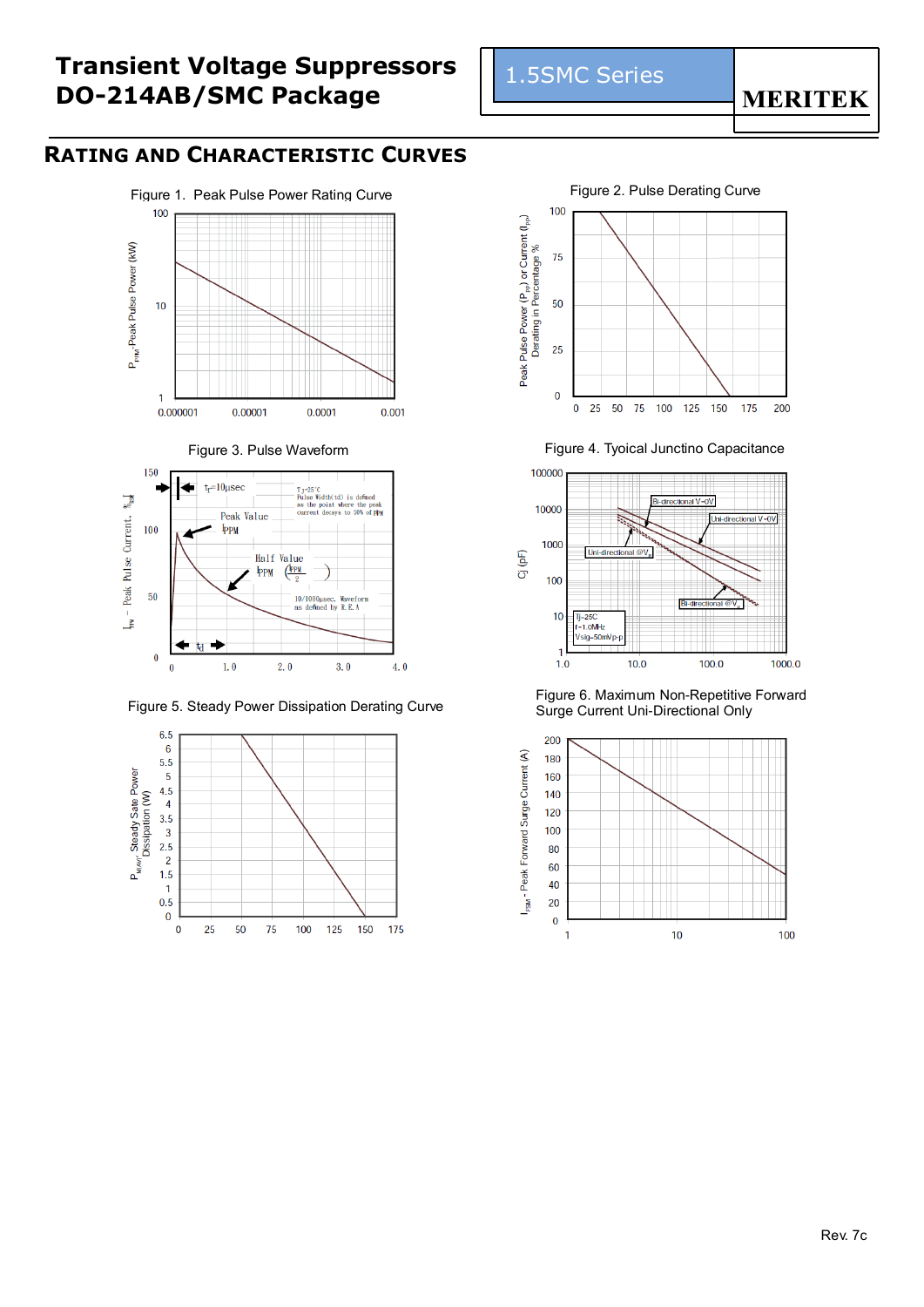### **Transient Voltage Suppressors DO-214AB/SMC Package**

#### **RATING AND CHARACTERISTIC CURVES**







Figure 5. Steady Power Dissipation Derating Curve



1.5SMC Series

#### **MERITEK**



Figure 3. Pulse Waveform **Figure 4. Tyoical Junctino Capacitance** 



Figure 6. Maximum Non-Repetitive Forward Surge Current Uni-Directional Only